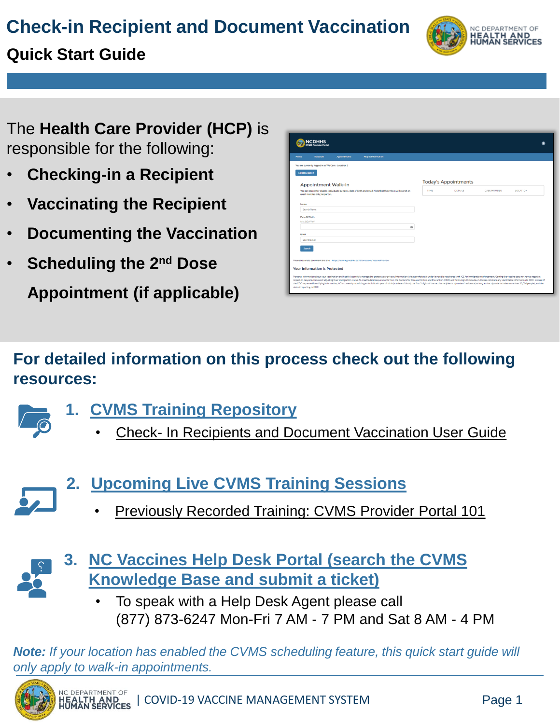# **Check-in Recipient and Document Vaccination**

# NC DEPARTMENT OF **HEALTH AND<br>HUMAN SERVICES**

# **Quick Start Guide**

The **Health Care Provider (HCP)** is responsible for the following:

- **Checking-in a Recipient**
- **Vaccinating the Recipient**
- **Documenting the Vaccination**
- **Scheduling the 2nd Dose**

**Appointment (if applicable)**

| NCDHHS                                                                                                                                                                                                                                                                                                                                                                                                                                                                                                                                                                                                                                                                                                                          |      |                             |                    |          |  |
|---------------------------------------------------------------------------------------------------------------------------------------------------------------------------------------------------------------------------------------------------------------------------------------------------------------------------------------------------------------------------------------------------------------------------------------------------------------------------------------------------------------------------------------------------------------------------------------------------------------------------------------------------------------------------------------------------------------------------------|------|-----------------------------|--------------------|----------|--|
| <b>Recipient</b><br><b>Help &amp; Information</b><br><b>Home</b><br><b>Appointments</b>                                                                                                                                                                                                                                                                                                                                                                                                                                                                                                                                                                                                                                         |      |                             |                    |          |  |
| You are currently logged in as We Care - Location 2                                                                                                                                                                                                                                                                                                                                                                                                                                                                                                                                                                                                                                                                             |      |                             |                    |          |  |
| <b>Select Location</b>                                                                                                                                                                                                                                                                                                                                                                                                                                                                                                                                                                                                                                                                                                          |      |                             |                    |          |  |
| <b>Appointment Walk-In</b>                                                                                                                                                                                                                                                                                                                                                                                                                                                                                                                                                                                                                                                                                                      |      | <b>Today's Appointments</b> |                    |          |  |
| You can search for eligible individuals by name, date of birth and email. Note that the system will search on<br>exact matches only, no partial.                                                                                                                                                                                                                                                                                                                                                                                                                                                                                                                                                                                | TIME | <b>DETAILS</b>              | <b>CASE NUMBER</b> | LOCATION |  |
|                                                                                                                                                                                                                                                                                                                                                                                                                                                                                                                                                                                                                                                                                                                                 |      |                             |                    |          |  |
| Name<br>Search Name                                                                                                                                                                                                                                                                                                                                                                                                                                                                                                                                                                                                                                                                                                             |      |                             |                    |          |  |
| Date Of Birth                                                                                                                                                                                                                                                                                                                                                                                                                                                                                                                                                                                                                                                                                                                   |      |                             |                    |          |  |
| MM/DD/YYYY                                                                                                                                                                                                                                                                                                                                                                                                                                                                                                                                                                                                                                                                                                                      |      |                             |                    |          |  |
| m                                                                                                                                                                                                                                                                                                                                                                                                                                                                                                                                                                                                                                                                                                                               |      |                             |                    |          |  |
| Email                                                                                                                                                                                                                                                                                                                                                                                                                                                                                                                                                                                                                                                                                                                           |      |                             |                    |          |  |
| Search Email                                                                                                                                                                                                                                                                                                                                                                                                                                                                                                                                                                                                                                                                                                                    |      |                             |                    |          |  |
| Search                                                                                                                                                                                                                                                                                                                                                                                                                                                                                                                                                                                                                                                                                                                          |      |                             |                    |          |  |
|                                                                                                                                                                                                                                                                                                                                                                                                                                                                                                                                                                                                                                                                                                                                 |      |                             |                    |          |  |
| Please be sure to bookmark this site: https://training-ncdhhs.cs33.force.com/VaccineProvider                                                                                                                                                                                                                                                                                                                                                                                                                                                                                                                                                                                                                                    |      |                             |                    |          |  |
| <b>Your Information is Protected</b>                                                                                                                                                                                                                                                                                                                                                                                                                                                                                                                                                                                                                                                                                            |      |                             |                    |          |  |
| Personal information about your vaccination and health is carefully managed to protect your privacy. Information is kept confidential under law and is not shared with ICE for immigration enforcement. Getting the vaccine do<br>impact on people's chances of adjusting their immigration status. To meet federal requirements from the Centers for Disease Control and Prevention ICDC) and following NC state law. NC does not share any identifiable inform<br>the CDC requested identifying information, NC is currently submitting an individual's year of birth (not date of birth), the first 3 digits of the vaccine recipient's zip code of residence (as long as that zip code include<br>date of reporting to CDC. |      |                             |                    |          |  |

# **For detailed information on this process check out the following resources:**

- 
- **1. [CVMS Training Repository](https://covid19.ncdhhs.gov/vaccines/providers/cvms-user-guides-and-recorded-trainings)** 
	- Check- [In Recipients and Document Vaccination User Guide](https://covid19.ncdhhs.gov/step-10-user-guide/download?attachment)



- **2. [Upcoming Live CVMS Training Sessions](https://covid19.ncdhhs.gov/vaccines/providers/cvms-user-guides-recorded-trainings-and-upcoming-trainings)**
	- Previously Recorded Training: CVMS Provider Portal 101



- **3. [NC Vaccines Help Desk Portal \(search the CVMS](https://ncgov.servicenowservices.com/csm_vaccine) Knowledge Base and submit a ticket)** 
	- To speak with a Help Desk Agent please call (877) 873-6247 Mon-Fri 7 AM - 7 PM and Sat 8 AM - 4 PM

*Note: If your location has enabled the CVMS scheduling feature, this quick start guide will only apply to walk-in appointments.*

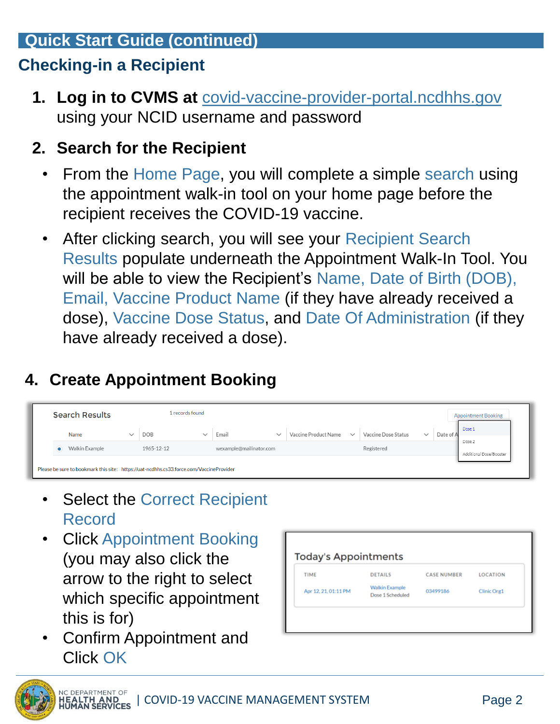## **Quick Start Guide (continued)**

# **Checking-in a Recipient**

**1. Log in to CVMS at** [covid-vaccine-provider-portal.ncdhhs.gov](https://covid-vaccine-provider-portal.ncdhhs.gov/) using your NCID username and password

#### **2. Search for the Recipient**

- From the Home Page, you will complete a simple search using the appointment walk-in tool on your home page before the recipient receives the COVID-19 vaccine.
- After clicking search, you will see your Recipient Search Results populate underneath the Appointment Walk-In Tool. You will be able to view the Recipient's Name, Date of Birth (DOB), Email, Vaccine Product Name (if they have already received a dose), Vaccine Dose Status, and Date Of Administration (if they have already received a dose).

# **4. Create Appointment Booking**

| <b>Appointment Booking</b> |
|----------------------------|
|                            |
| Additional Dose/Booster    |
|                            |

- **Select the Correct Recipient** Record
- Click Appointment Booking (you may also click the arrow to the right to select which specific appointment this is for)
- Confirm Appointment and Click OK

| <b>TIME</b>          | <b>DETAILS</b>                            | <b>CASE NUMBER</b> | <b>LOCATION</b> |
|----------------------|-------------------------------------------|--------------------|-----------------|
| Apr 12, 21, 01:11 PM | <b>Walkin Example</b><br>Dose 1 Scheduled | 03499186           | Clinic Org1     |

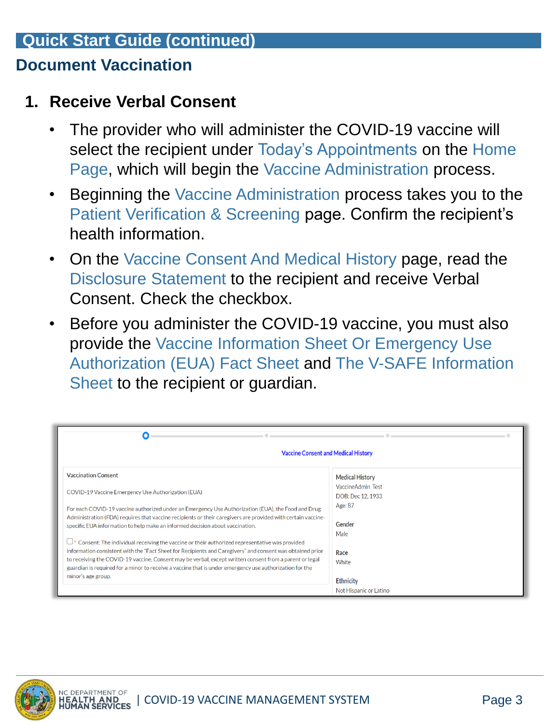## **Quick Start Guide (continued)**

#### **Document Vaccination**

#### **1. Receive Verbal Consent**

- The provider who will administer the COVID-19 vaccine will select the recipient under Today's Appointments on the Home Page, which will begin the Vaccine Administration process.
- Beginning the Vaccine Administration process takes you to the Patient Verification & Screening page. Confirm the recipient's health information.
- On the Vaccine Consent And Medical History page, read the Disclosure Statement to the recipient and receive Verbal Consent. Check the checkbox.
- Before you administer the COVID-19 vaccine, you must also provide the Vaccine Information Sheet Or Emergency Use Authorization (EUA) Fact Sheet and The V-SAFE Information Sheet to the recipient or guardian.

| O                                                                                                                                                                                                                                                                                                                                                                                                                                         |                                            |  |  |  |
|-------------------------------------------------------------------------------------------------------------------------------------------------------------------------------------------------------------------------------------------------------------------------------------------------------------------------------------------------------------------------------------------------------------------------------------------|--------------------------------------------|--|--|--|
| <b>Vaccine Consent and Medical History</b>                                                                                                                                                                                                                                                                                                                                                                                                |                                            |  |  |  |
| <b>Vaccination Consent</b>                                                                                                                                                                                                                                                                                                                                                                                                                | <b>Medical History</b>                     |  |  |  |
| COVID-19 Vaccine Emergency Use Authorization (EUA)                                                                                                                                                                                                                                                                                                                                                                                        | VaccineAdmin Test<br>DOB: Dec 12, 1933     |  |  |  |
| For each COVID-19 vaccine authorized under an Emergency Use Authorization (EUA), the Food and Drug<br>Administration (FDA) requires that vaccine recipients or their caregivers are provided with certain vaccine-<br>specific EUA information to help make an informed decision about vaccination.                                                                                                                                       | Age: 87<br>Gender                          |  |  |  |
| $\Box^*$ Consent: The individual receiving the vaccine or their authorized representative was provided<br>information consistent with the "Fact Sheet for Recipients and Caregivers" and consent was obtained prior<br>to receiving the COVID-19 vaccine. Consent may be verbal, except written consent from a parent or legal<br>guardian is required for a minor to receive a vaccine that is under emergency use authorization for the | Male<br>Race<br>White                      |  |  |  |
| minor's age group.                                                                                                                                                                                                                                                                                                                                                                                                                        | <b>Ethnicity</b><br>Not Hispanic or Latino |  |  |  |